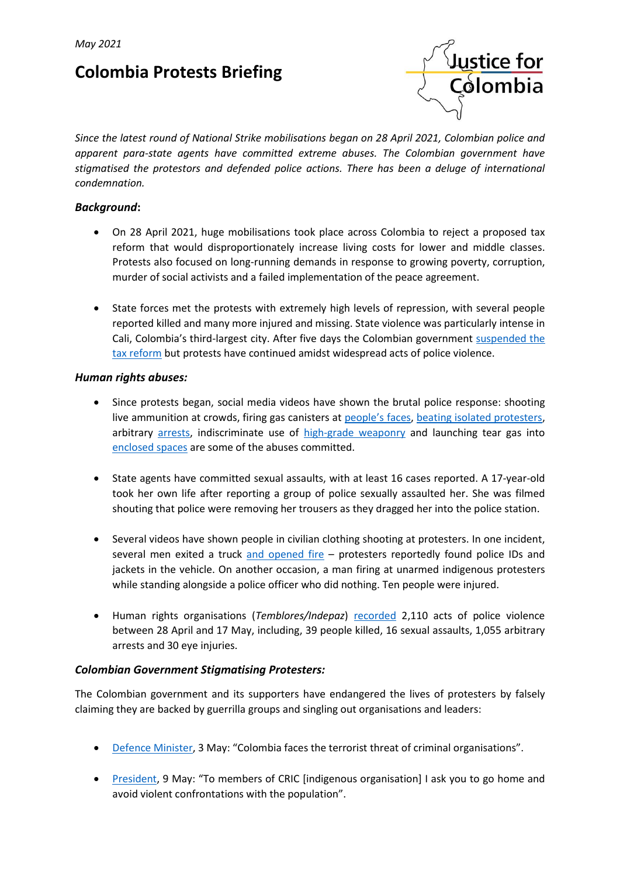# **Colombia Protests Briefing**



*Since the latest round of National Strike mobilisations began on 28 April 2021, Colombian police and apparent para-state agents have committed extreme abuses. The Colombian government have stigmatised the protestors and defended police actions. There has been a deluge of international condemnation.*

## *Background***:**

- On 28 April 2021, huge mobilisations took place across Colombia to reject a proposed tax reform that would disproportionately increase living costs for lower and middle classes. Protests also focused on long-running demands in response to growing poverty, corruption, murder of social activists and a failed implementation of the peace agreement.
- State forces met the protests with extremely high levels of repression, with several people reported killed and many more injured and missing. State violence was particularly intense in Cali, Colombia's third-largest city. After five days the Colombian government [suspended the](https://www.france24.com/es/am%C3%A9rica-latina/20210502-reforma-tributaria-colombia-duque-retiro)  [tax reform](https://www.france24.com/es/am%C3%A9rica-latina/20210502-reforma-tributaria-colombia-duque-retiro) but protests have continued amidst widespread acts of police violence.

#### *Human rights abuses:*

- Since protests began, social media videos have shown the brutal police response: shooting live ammunition at crowds, firing gas canisters at [people's](https://reportajes.elespectador.com/perdi-el-ojo-pero-no-los-suenos/) faces, [beating isolated protesters,](https://twitter.com/LuisGPerezCasas/status/1389021476586770434?s=20) arbitrary [arrests,](https://twitter.com/sebaquiropa/status/1394036800423858180?s=20) indiscriminate use of [high-grade weaponry](https://twitter.com/JFColombia/status/1392895539507834880?s=20) and launching tear gas into [enclosed](https://www.elespectador.com/bogota/gases-lacrimogenos-a-la-puerta-de-su-casa-article/) spaces are some of the abuses committed.
- State agents have committed sexual assaults, with at least 16 cases reported. A 17-year-old took her own life after reporting a group of police sexually assaulted her. She was filmed shouting that police were removing her trousers as they dragged her into the police station.
- Several videos have shown people in civilian clothing shooting at protesters. In one incident, several men exited a truck [and opened fire](https://twitter.com/JFColombia/status/1390423877940129797?s=20) - protesters reportedly found police IDs and jackets in the vehicle. On another occasion, a man firing at unarmed indigenous protesters while standing alongside a police officer who did nothing. Ten people were injured.
- Human rights organisations (*Temblores/Indepaz*) [recorded](https://twitter.com/TembloresOng/status/1392955959178375179/photo/1) 2,110 acts of police violence between 28 April and 17 May, including, 39 people killed, 16 sexual assaults, 1,055 arbitrary arrests and 30 eye injuries.

### *Colombian Government Stigmatising Protesters:*

The Colombian government and its supporters have endangered the lives of protesters by falsely claiming they are backed by guerrilla groups and singling out organisations and leaders:

- [Defence Minister,](https://twitter.com/Diego_Molano/status/1389242329119219717?s=20) 3 May: "Colombia faces the terrorist threat of criminal organisations".
- [President,](https://twitter.com/IvanDuque/status/1391521513355022341) 9 May: "To members of CRIC [indigenous organisation] I ask you to go home and avoid violent confrontations with the population".